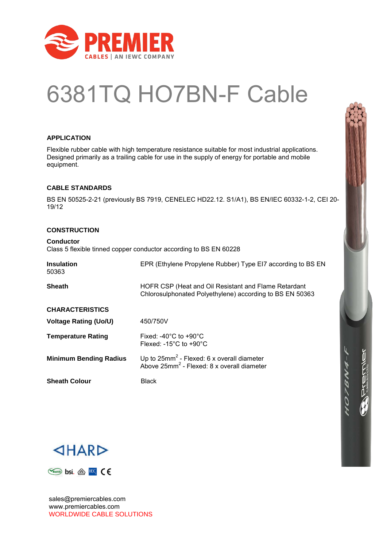

## 6381TQ HO7BN-F Cable

#### **APPLICATION**

Flexible rubber cable with high temperature resistance suitable for most industrial applications. Designed primarily as a trailing cable for use in the supply of energy for portable and mobile equipment.

#### **CABLE STANDARDS**

BS EN 50525-2-21 (previously BS 7919, CENELEC HD22.12. S1/A1), BS EN/IEC 60332-1-2, CEI 20- 19/12

#### **CONSTRUCTION**

**Conductor** Class 5 flexible tinned copper conductor according to BS EN 60228

| <b>Insulation</b><br>50363    | EPR (Ethylene Propylene Rubber) Type EI7 according to BS EN                                                         |
|-------------------------------|---------------------------------------------------------------------------------------------------------------------|
| <b>Sheath</b>                 | HOFR CSP (Heat and Oil Resistant and Flame Retardant<br>Chlorosulphonated Polyethylene) according to BS EN 50363    |
| <b>CHARACTERISTICS</b>        |                                                                                                                     |
| <b>Voltage Rating (Uo/U)</b>  | 450/750V                                                                                                            |
| <b>Temperature Rating</b>     | Fixed: -40 $^{\circ}$ C to +90 $^{\circ}$ C<br>Flexed: -15 $^{\circ}$ C to +90 $^{\circ}$ C                         |
| <b>Minimum Bending Radius</b> | Up to $25$ mm <sup>2</sup> - Flexed: 6 x overall diameter<br>Above 25mm <sup>2</sup> - Flexed: 8 x overall diameter |
| <b>Sheath Colour</b>          | <b>Black</b>                                                                                                        |



エンタノク





sales@premiercables.com www.premiercables.com WORLDWIDE CABLE SOLUTIONS